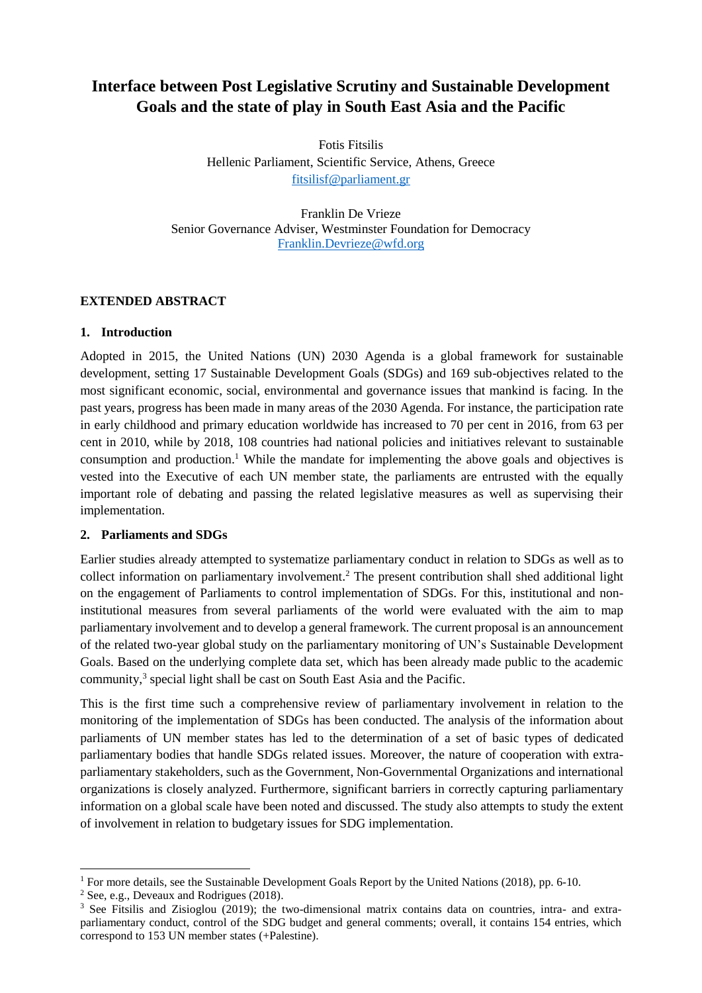# **Interface between Post Legislative Scrutiny and Sustainable Development Goals and the state of play in South East Asia and the Pacific**

Fotis Fitsilis Hellenic Parliament, Scientific Service, Athens, Greece [fitsilisf@parliament.gr](mailto:fitsilisf@parliament.gr)

Franklin De Vrieze Senior Governance Adviser, Westminster Foundation for Democracy [Franklin.Devrieze@wfd.org](mailto:Franklin.Devrieze@wfd.org)

### **EXTENDED ABSTRACT**

## **1. Introduction**

Adopted in 2015, the United Nations (UN) 2030 Agenda is a global framework for sustainable development, setting 17 Sustainable Development Goals (SDGs) and 169 sub-objectives related to the most significant economic, social, environmental and governance issues that mankind is facing. In the past years, progress has been made in many areas of the 2030 Agenda. For instance, the participation rate in early childhood and primary education worldwide has increased to 70 per cent in 2016, from 63 per cent in 2010, while by 2018, 108 countries had national policies and initiatives relevant to sustainable consumption and production. <sup>1</sup> While the mandate for implementing the above goals and objectives is vested into the Executive of each UN member state, the parliaments are entrusted with the equally important role of debating and passing the related legislative measures as well as supervising their implementation.

### **2. Parliaments and SDGs**

Earlier studies already attempted to systematize parliamentary conduct in relation to SDGs as well as to collect information on parliamentary involvement. <sup>2</sup> The present contribution shall shed additional light on the engagement of Parliaments to control implementation of SDGs. For this, institutional and noninstitutional measures from several parliaments of the world were evaluated with the aim to map parliamentary involvement and to develop a general framework. The current proposal is an announcement of the related two-year global study on the parliamentary monitoring of UN's Sustainable Development Goals. Based on the underlying complete data set, which has been already made public to the academic community, 3 special light shall be cast on South East Asia and the Pacific.

This is the first time such a comprehensive review of parliamentary involvement in relation to the monitoring of the implementation of SDGs has been conducted. The analysis of the information about parliaments of UN member states has led to the determination of a set of basic types of dedicated parliamentary bodies that handle SDGs related issues. Moreover, the nature of cooperation with extraparliamentary stakeholders, such as the Government, Non-Governmental Organizations and international organizations is closely analyzed. Furthermore, significant barriers in correctly capturing parliamentary information on a global scale have been noted and discussed. The study also attempts to study the extent of involvement in relation to budgetary issues for SDG implementation.

 $\overline{\phantom{a}}$ <sup>1</sup> For more details, see the Sustainable Development Goals Report by the United Nations (2018), pp. 6-10.

<sup>2</sup> See, e.g., Deveaux and Rodrigues (2018).

<sup>&</sup>lt;sup>3</sup> See Fitsilis and Zisioglou (2019); the two-dimensional matrix contains data on countries, intra- and extraparliamentary conduct, control of the SDG budget and general comments; overall, it contains 154 entries, which correspond to 153 UN member states (+Palestine).